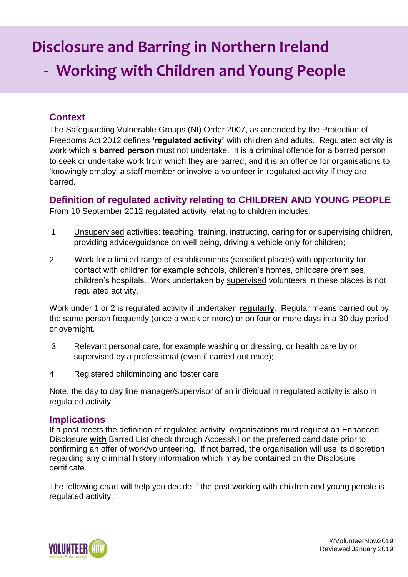# **Disclosure and Barring in Northern Ireland**

# - **Working with Children and Young People**

# **Context**

The Safeguarding Vulnerable Groups (NI) Order 2007, as amended by the Protection of Freedoms Act 2012 defines **'regulated activity'** with children and adults. Regulated activity is work which a **barred person** must not undertake. It is a criminal offence for a barred person to seek or undertake work from which they are barred, and it is an offence for organisations to 'knowingly employ' a staff member or involve a volunteer in regulated activity if they are barred.

### **Definition of regulated activity relating to CHILDREN AND YOUNG PEOPLE**

From 10 September 2012 regulated activity relating to children includes:

- 1 Unsupervised activities: teaching, training, instructing, caring for or supervising children, providing advice/guidance on well being, driving a vehicle only for children;
- 2 Work for a limited range of establishments (specified places) with opportunity for contact with children for example schools, children's homes, childcare premises, children's hospitals. Work undertaken by supervised volunteers in these places is not regulated activity.

Work under 1 or 2 is regulated activity if undertaken **regularly**. Regular means carried out by the same person frequently (once a week or more) or on four or more days in a 30 day period or overnight.

- 3 Relevant personal care, for example washing or dressing, or health care by or supervised by a professional (even if carried out once);
- 4 Registered childminding and foster care.

Note: the day to day line manager/supervisor of an individual in regulated activity is also in regulated activity.

#### **Implications**

If a post meets the definition of regulated activity, organisations must request an Enhanced Disclosure **with** Barred List check through AccessNI on the preferred candidate prior to confirming an offer of work/volunteering. If not barred, the organisation will use its discretion regarding any criminal history information which may be contained on the Disclosure certificate.

The following chart will help you decide if the post working with children and young people is regulated activity.

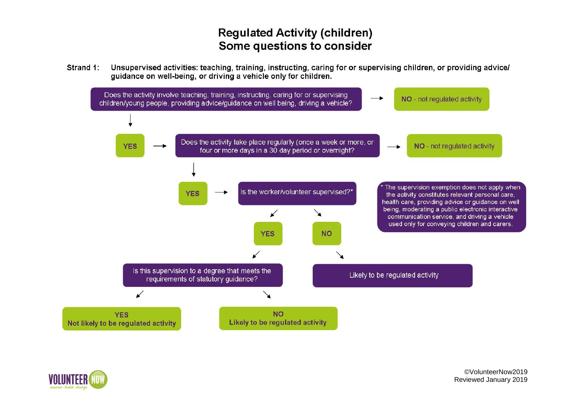# **Regulated Activity (children)** Some questions to consider

Strand 1: Unsupervised activities: teaching, training, instructing, caring for or supervising children, or providing advice/ quidance on well-being, or driving a vehicle only for children.



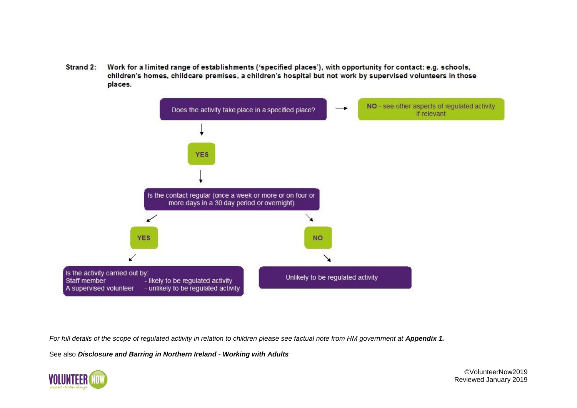Work for a limited range of establishments ('specified places'), with opportunity for contact: e.g. schools, Strand 2: children's homes, childcare premises, a children's hospital but not work by supervised volunteers in those places.



*For full details of the scope of regulated activity in relation to children please see factual note from HM government at Appendix 1.* 

See also *Disclosure and Barring in Northern Ireland - Working with Adults*

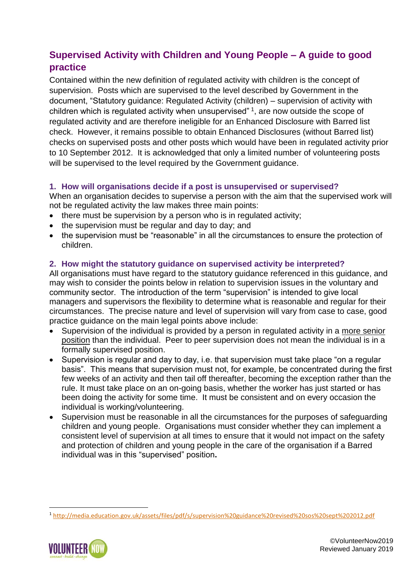# **Supervised Activity with Children and Young People – A guide to good practice**

Contained within the new definition of regulated activity with children is the concept of supervision. Posts which are supervised to the level described by Government in the document, "Statutory guidance: Regulated Activity (children) – supervision of activity with children which is regulated activity when unsupervised"<sup>1</sup>, are now outside the scope of regulated activity and are therefore ineligible for an Enhanced Disclosure with Barred list check. However, it remains possible to obtain Enhanced Disclosures (without Barred list) checks on supervised posts and other posts which would have been in regulated activity prior to 10 September 2012. It is acknowledged that only a limited number of volunteering posts will be supervised to the level required by the Government quidance.

#### **1. How will organisations decide if a post is unsupervised or supervised?**

When an organisation decides to supervise a person with the aim that the supervised work will not be regulated activity the law makes three main points:

- there must be supervision by a person who is in regulated activity;
- the supervision must be regular and day to day; and
- the supervision must be "reasonable" in all the circumstances to ensure the protection of children.

#### **2. How might the statutory guidance on supervised activity be interpreted?**

All organisations must have regard to the statutory guidance referenced in this guidance, and may wish to consider the points below in relation to supervision issues in the voluntary and community sector. The introduction of the term "supervision" is intended to give local managers and supervisors the flexibility to determine what is reasonable and regular for their circumstances. The precise nature and level of supervision will vary from case to case, good practice guidance on the main legal points above include:

- Supervision of the individual is provided by a person in regulated activity in a more senior position than the individual. Peer to peer supervision does not mean the individual is in a formally supervised position.
- Supervision is regular and day to day, i.e. that supervision must take place "on a regular basis". This means that supervision must not, for example, be concentrated during the first few weeks of an activity and then tail off thereafter, becoming the exception rather than the rule. It must take place on an on-going basis, whether the worker has just started or has been doing the activity for some time. It must be consistent and on every occasion the individual is working/volunteering.
- Supervision must be reasonable in all the circumstances for the purposes of safeguarding children and young people. Organisations must consider whether they can implement a consistent level of supervision at all times to ensure that it would not impact on the safety and protection of children and young people in the care of the organisation if a Barred individual was in this "supervised" position**.**

<sup>1</sup> <http://media.education.gov.uk/assets/files/pdf/s/supervision%20guidance%20revised%20sos%20sept%202012.pdf>

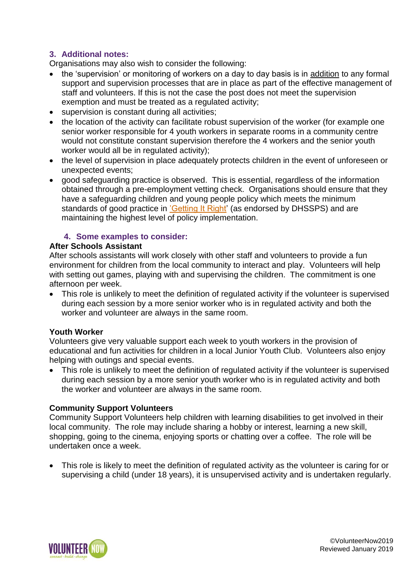#### **3. Additional notes:**

Organisations may also wish to consider the following:

- the 'supervision' or monitoring of workers on a day to day basis is in addition to any formal support and supervision processes that are in place as part of the effective management of staff and volunteers. If this is not the case the post does not meet the supervision exemption and must be treated as a regulated activity;
- supervision is constant during all activities;
- the location of the activity can facilitate robust supervision of the worker (for example one senior worker responsible for 4 youth workers in separate rooms in a community centre would not constitute constant supervision therefore the 4 workers and the senior youth worker would all be in regulated activity);
- the level of supervision in place adequately protects children in the event of unforeseen or unexpected events;
- good safeguarding practice is observed. This is essential, regardless of the information obtained through a pre-employment vetting check. Organisations should ensure that they have a safeguarding children and young people policy which meets the minimum standards of good practice in ['Getting It Right'](http://www.volunteernow.co.uk/publications/?category=7&type=0&Search.x=26&Search.y=12) (as endorsed by DHSSPS) and are maintaining the highest level of policy implementation.

#### **4. Some examples to consider:**

#### **After Schools Assistant**

After schools assistants will work closely with other staff and volunteers to provide a fun environment for children from the local community to interact and play. Volunteers will help with setting out games, playing with and supervising the children. The commitment is one afternoon per week.

• This role is unlikely to meet the definition of regulated activity if the volunteer is supervised during each session by a more senior worker who is in regulated activity and both the worker and volunteer are always in the same room.

#### **Youth Worker**

Volunteers give very valuable support each week to youth workers in the provision of educational and fun activities for children in a local Junior Youth Club. Volunteers also enjoy helping with outings and special events.

• This role is unlikely to meet the definition of regulated activity if the volunteer is supervised during each session by a more senior youth worker who is in regulated activity and both the worker and volunteer are always in the same room.

#### **Community Support Volunteers**

Community Support Volunteers help children with learning disabilities to get involved in their local community. The role may include sharing a hobby or interest, learning a new skill, shopping, going to the cinema, enjoying sports or chatting over a coffee. The role will be undertaken once a week.

• This role is likely to meet the definition of regulated activity as the volunteer is caring for or supervising a child (under 18 years), it is unsupervised activity and is undertaken regularly.

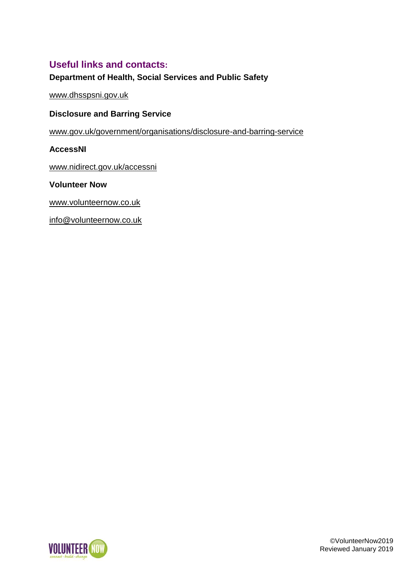# **Useful links and contacts:**

#### **Department of Health, Social Services and Public Safety**

[www.dhsspsni.gov.uk](http://www.dhsspsni.gov.uk/)

#### **Disclosure and Barring Service**

[www.gov.uk/government/organisations/disclosure-and-barring-service](https://www.gov.uk/government/organisations/disclosure-and-barring-service) 

#### **AccessNI**

[www.nidirect.gov.uk/accessni](http://www.nidirect.gov.uk/accessni)

#### **Volunteer Now**

[www.volunteernow.co.uk](http://www.volunteernow.co.uk/)

[info@volunteernow.co.uk](mailto:info@volunteernow.co.uk)

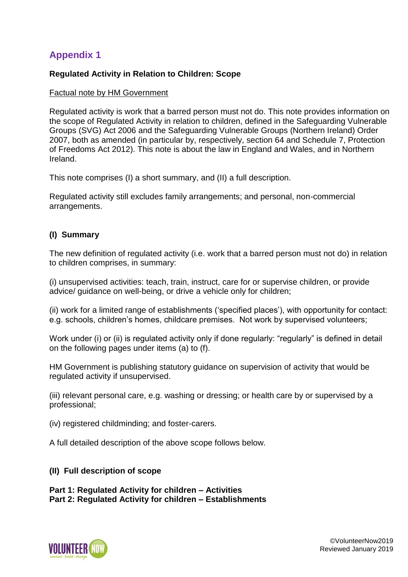# **Appendix 1**

#### **Regulated Activity in Relation to Children: Scope**

#### Factual note by HM Government

Regulated activity is work that a barred person must not do. This note provides information on the scope of Regulated Activity in relation to children, defined in the Safeguarding Vulnerable Groups (SVG) Act 2006 and the Safeguarding Vulnerable Groups (Northern Ireland) Order 2007, both as amended (in particular by, respectively, section 64 and Schedule 7, Protection of Freedoms Act 2012). This note is about the law in England and Wales, and in Northern Ireland.

This note comprises (I) a short summary, and (II) a full description.

Regulated activity still excludes family arrangements; and personal, non-commercial arrangements.

#### **(I) Summary**

The new definition of regulated activity (i.e. work that a barred person must not do) in relation to children comprises, in summary:

(i) unsupervised activities: teach, train, instruct, care for or supervise children, or provide advice/ guidance on well-being, or drive a vehicle only for children;

(ii) work for a limited range of establishments ('specified places'), with opportunity for contact: e.g. schools, children's homes, childcare premises. Not work by supervised volunteers;

Work under (i) or (ii) is regulated activity only if done regularly: "regularly" is defined in detail on the following pages under items (a) to (f).

HM Government is publishing statutory guidance on supervision of activity that would be regulated activity if unsupervised.

(iii) relevant personal care, e.g. washing or dressing; or health care by or supervised by a professional;

(iv) registered childminding; and foster-carers.

A full detailed description of the above scope follows below.

#### **(II) Full description of scope**

**Part 1: Regulated Activity for children – Activities Part 2: Regulated Activity for children – Establishments**

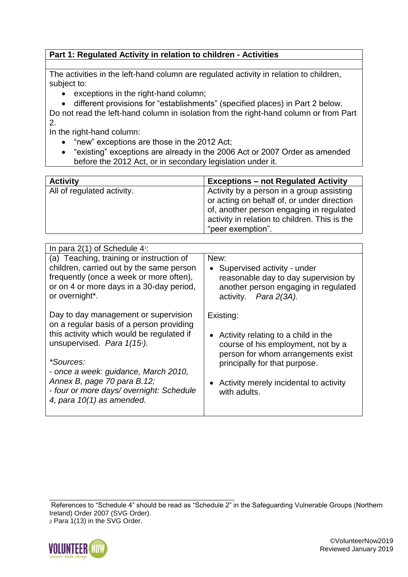#### **Part 1: Regulated Activity in relation to children - Activities**

The activities in the left-hand column are regulated activity in relation to children, subject to:

- exceptions in the right-hand column;
- different provisions for "establishments" (specified places) in Part 2 below.

Do not read the left-hand column in isolation from the right-hand column or from Part 2.

In the right-hand column:

- "new" exceptions are those in the 2012 Act;
- "existing" exceptions are already in the 2006 Act or 2007 Order as amended before the 2012 Act, or in secondary legislation under it.

| <b>Activity</b>            | <b>Exceptions – not Regulated Activity</b>                                                                                                                                                                |
|----------------------------|-----------------------------------------------------------------------------------------------------------------------------------------------------------------------------------------------------------|
| All of regulated activity. | Activity by a person in a group assisting<br>or acting on behalf of, or under direction<br>of, another person engaging in regulated<br>activity in relation to children. This is the<br>"peer exemption". |

| In para $2(1)$ of Schedule $4$ <sup>1</sup> :                                                                                                                                                                                                                                                                                                                   |                                                                                                                                                                                                                                                  |
|-----------------------------------------------------------------------------------------------------------------------------------------------------------------------------------------------------------------------------------------------------------------------------------------------------------------------------------------------------------------|--------------------------------------------------------------------------------------------------------------------------------------------------------------------------------------------------------------------------------------------------|
| (a) Teaching, training or instruction of<br>children, carried out by the same person<br>frequently (once a week or more often),<br>or on 4 or more days in a 30-day period,                                                                                                                                                                                     | New:<br>Supervised activity - under<br>reasonable day to day supervision by<br>another person engaging in regulated                                                                                                                              |
| or overnight*.<br>Day to day management or supervision<br>on a regular basis of a person providing<br>this activity which would be regulated if<br>unsupervised. Para 1(15 <sup>2</sup> ).<br><i>*Sources:</i><br>- once a week: guidance, March 2010,<br>Annex B, page 70 para B.12;<br>- four or more days/overnight: Schedule<br>4, para $10(1)$ as amended. | activity. Para 2(3A).<br>Existing:<br>Activity relating to a child in the<br>course of his employment, not by a<br>person for whom arrangements exist<br>principally for that purpose.<br>Activity merely incidental to activity<br>with adults. |



\_\_\_\_\_\_\_\_\_\_\_\_\_\_\_\_\_\_\_\_\_\_\_\_\_\_\_\_\_\_\_\_\_\_\_\_\_\_\_\_\_\_\_\_\_ References to "Schedule 4" should be read as "Schedule 2" in the Safeguarding Vulnerable Groups (Northern Ireland) Order 2007 (SVG Order). <sup>2</sup> Para 1(13) in the SVG Order.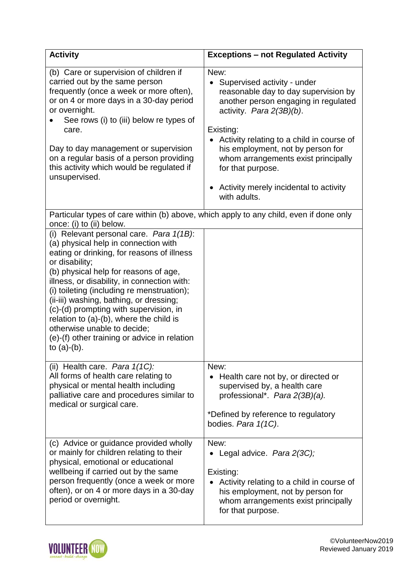| <b>Activity</b>                                                                                                                                                                                                                                                                                                                                                                                                                                                                                                        | <b>Exceptions - not Regulated Activity</b>                                                                                                                                                                                                                                                                                                                                        |
|------------------------------------------------------------------------------------------------------------------------------------------------------------------------------------------------------------------------------------------------------------------------------------------------------------------------------------------------------------------------------------------------------------------------------------------------------------------------------------------------------------------------|-----------------------------------------------------------------------------------------------------------------------------------------------------------------------------------------------------------------------------------------------------------------------------------------------------------------------------------------------------------------------------------|
| (b) Care or supervision of children if<br>carried out by the same person<br>frequently (once a week or more often),<br>or on 4 or more days in a 30-day period<br>or overnight.<br>See rows (i) to (iii) below re types of<br>care.<br>Day to day management or supervision<br>on a regular basis of a person providing<br>this activity which would be regulated if<br>unsupervised.                                                                                                                                  | New:<br>Supervised activity - under<br>$\bullet$<br>reasonable day to day supervision by<br>another person engaging in regulated<br>activity. Para 2(3B)(b).<br>Existing:<br>Activity relating to a child in course of<br>his employment, not by person for<br>whom arrangements exist principally<br>for that purpose.<br>Activity merely incidental to activity<br>with adults. |
| Particular types of care within (b) above, which apply to any child, even if done only<br>once: (i) to (ii) below.                                                                                                                                                                                                                                                                                                                                                                                                     |                                                                                                                                                                                                                                                                                                                                                                                   |
| (i) Relevant personal care. Para 1(1B):<br>(a) physical help in connection with<br>eating or drinking, for reasons of illness<br>or disability;<br>(b) physical help for reasons of age,<br>illness, or disability, in connection with:<br>(i) toileting (including re menstruation);<br>(ii-iii) washing, bathing, or dressing;<br>(c)-(d) prompting with supervision, in<br>relation to (a)-(b), where the child is<br>otherwise unable to decide;<br>(e)-(f) other training or advice in relation<br>to $(a)-(b)$ . |                                                                                                                                                                                                                                                                                                                                                                                   |
| (ii) Health care. Para $1(1C)$ :<br>All forms of health care relating to<br>physical or mental health including<br>palliative care and procedures similar to<br>medical or surgical care.                                                                                                                                                                                                                                                                                                                              | New:<br>Health care not by, or directed or<br>supervised by, a health care<br>professional*. Para 2(3B)(a).<br>*Defined by reference to regulatory<br>bodies. Para 1(1C).                                                                                                                                                                                                         |
| (c) Advice or guidance provided wholly<br>or mainly for children relating to their<br>physical, emotional or educational<br>wellbeing if carried out by the same<br>person frequently (once a week or more<br>often), or on 4 or more days in a 30-day<br>period or overnight.                                                                                                                                                                                                                                         | New:<br>• Legal advice. Para 2(3C);<br>Existing:<br>Activity relating to a child in course of<br>his employment, not by person for<br>whom arrangements exist principally<br>for that purpose.                                                                                                                                                                                    |

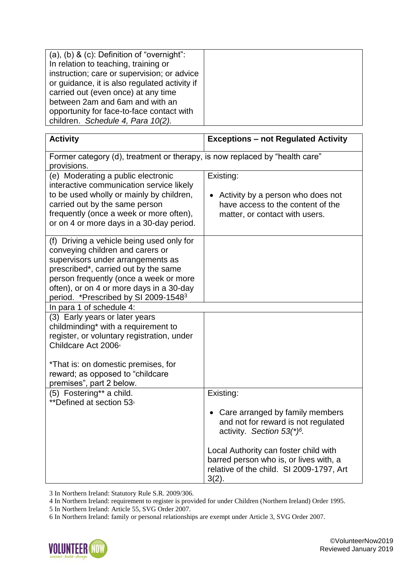| (a), (b) & (c): Definition of "overnight":    |  |
|-----------------------------------------------|--|
| In relation to teaching, training or          |  |
| instruction; care or supervision; or advice   |  |
| or guidance, it is also regulated activity if |  |
| carried out (even once) at any time           |  |
| between 2am and 6am and with an               |  |
| opportunity for face-to-face contact with     |  |
| children. Schedule 4, Para 10(2).             |  |

| <b>Activity</b>                                                                                                                                                                                                                                                                                      | <b>Exceptions - not Regulated Activity</b>                                                                                                                                                                                                                           |
|------------------------------------------------------------------------------------------------------------------------------------------------------------------------------------------------------------------------------------------------------------------------------------------------------|----------------------------------------------------------------------------------------------------------------------------------------------------------------------------------------------------------------------------------------------------------------------|
| Former category (d), treatment or therapy, is now replaced by "health care"<br>provisions.                                                                                                                                                                                                           |                                                                                                                                                                                                                                                                      |
| (e) Moderating a public electronic<br>interactive communication service likely<br>to be used wholly or mainly by children,<br>carried out by the same person<br>frequently (once a week or more often),<br>or on 4 or more days in a 30-day period.                                                  | Existing:<br>Activity by a person who does not<br>have access to the content of the<br>matter, or contact with users.                                                                                                                                                |
| (f) Driving a vehicle being used only for<br>conveying children and carers or<br>supervisors under arrangements as<br>prescribed*, carried out by the same<br>person frequently (once a week or more<br>often), or on 4 or more days in a 30-day<br>period. *Prescribed by SI 2009-1548 <sup>3</sup> |                                                                                                                                                                                                                                                                      |
| In para 1 of schedule 4:                                                                                                                                                                                                                                                                             |                                                                                                                                                                                                                                                                      |
| (3) Early years or later years<br>childminding* with a requirement to<br>register, or voluntary registration, under<br>Childcare Act 2006 <sup>4</sup>                                                                                                                                               |                                                                                                                                                                                                                                                                      |
| *That is: on domestic premises, for<br>reward; as opposed to "childcare<br>premises", part 2 below.                                                                                                                                                                                                  |                                                                                                                                                                                                                                                                      |
| (5) Fostering** a child.<br>**Defined at section 53 <sup>s</sup>                                                                                                                                                                                                                                     | Existing:<br>• Care arranged by family members<br>and not for reward is not regulated<br>activity. Section $53(^{*})^6$ .<br>Local Authority can foster child with<br>barred person who is, or lives with, a<br>relative of the child. SI 2009-1797, Art<br>$3(2)$ . |

3 In Northern Ireland: Statutory Rule S.R. 2009/306.

4 In Northern Ireland: requirement to register is provided for under Children (Northern Ireland) Order 1995.

5 In Northern Ireland: Article 55, SVG Order 2007.

6 In Northern Ireland: family or personal relationships are exempt under Article 3, SVG Order 2007.

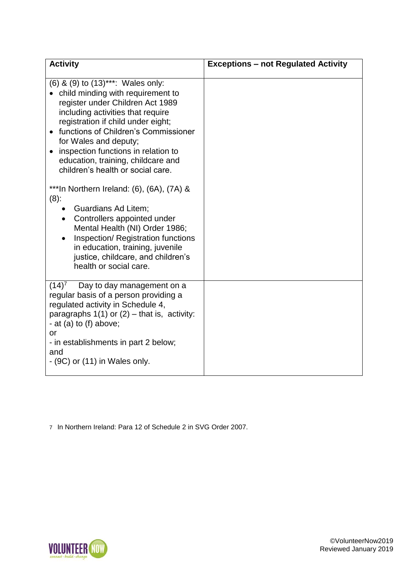| <b>Activity</b>                                                                                                                                                                                                                                                                                                                                                                                                                                                                                                                                                                                                                                                                                                    | <b>Exceptions - not Regulated Activity</b> |
|--------------------------------------------------------------------------------------------------------------------------------------------------------------------------------------------------------------------------------------------------------------------------------------------------------------------------------------------------------------------------------------------------------------------------------------------------------------------------------------------------------------------------------------------------------------------------------------------------------------------------------------------------------------------------------------------------------------------|--------------------------------------------|
| (6) & (9) to (13)***: Wales only:<br>child minding with requirement to<br>register under Children Act 1989<br>including activities that require<br>registration if child under eight;<br>functions of Children's Commissioner<br>for Wales and deputy;<br>inspection functions in relation to<br>education, training, childcare and<br>children's health or social care.<br>***In Northern Ireland: $(6)$ , $(6A)$ , $(7A)$ &<br>$(8)$ :<br><b>Guardians Ad Litem;</b><br>Controllers appointed under<br>$\bullet$<br>Mental Health (NI) Order 1986;<br><b>Inspection/ Registration functions</b><br>$\bullet$<br>in education, training, juvenile<br>justice, childcare, and children's<br>health or social care. |                                            |
| $(14)^7$<br>Day to day management on a<br>regular basis of a person providing a<br>regulated activity in Schedule 4,<br>paragraphs $1(1)$ or $(2)$ – that is, activity:<br>- at (a) to (f) above;<br>or<br>- in establishments in part 2 below;<br>and<br>$-$ (9C) or (11) in Wales only.                                                                                                                                                                                                                                                                                                                                                                                                                          |                                            |

7 In Northern Ireland: Para 12 of Schedule 2 in SVG Order 2007.

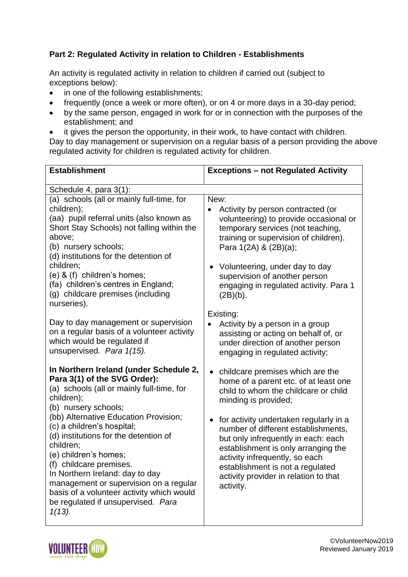#### **Part 2: Regulated Activity in relation to Children - Establishments**

An activity is regulated activity in relation to children if carried out (subject to exceptions below):

- in one of the following establishments;
- frequently (once a week or more often), or on 4 or more days in a 30-day period;
- by the same person, engaged in work for or in connection with the purposes of the establishment; and
- it gives the person the opportunity, in their work, to have contact with children. Day to day management or supervision on a regular basis of a person providing the above regulated activity for children is regulated activity for children.

| <b>Establishment</b>                                                                                                                                                                                                                                                                                                                                                                                                                                                                                                    | <b>Exceptions - not Regulated Activity</b>                                                                                                                                                                                                                                                                                                                                                                                                        |  |
|-------------------------------------------------------------------------------------------------------------------------------------------------------------------------------------------------------------------------------------------------------------------------------------------------------------------------------------------------------------------------------------------------------------------------------------------------------------------------------------------------------------------------|---------------------------------------------------------------------------------------------------------------------------------------------------------------------------------------------------------------------------------------------------------------------------------------------------------------------------------------------------------------------------------------------------------------------------------------------------|--|
| Schedule 4, para 3(1):                                                                                                                                                                                                                                                                                                                                                                                                                                                                                                  |                                                                                                                                                                                                                                                                                                                                                                                                                                                   |  |
| (a) schools (all or mainly full-time, for<br>children);<br>(aa) pupil referral units (also known as<br>Short Stay Schools) not falling within the<br>above;<br>(b) nursery schools;<br>(d) institutions for the detention of<br>children;<br>(e) & (f) children's homes;<br>(fa) children's centres in England;<br>(g) childcare premises (including                                                                                                                                                                    | New:<br>Activity by person contracted (or<br>$\bullet$<br>volunteering) to provide occasional or<br>temporary services (not teaching,<br>training or supervision of children).<br>Para 1(2A) & (2B)(a);<br>Volunteering, under day to day<br>$\bullet$<br>supervision of another person<br>engaging in regulated activity. Para 1<br>$(2B)(b)$ .                                                                                                  |  |
| nurseries).<br>Day to day management or supervision<br>on a regular basis of a volunteer activity<br>which would be regulated if<br>unsupervised. Para 1(15).                                                                                                                                                                                                                                                                                                                                                           | Existing:<br>Activity by a person in a group<br>assisting or acting on behalf of, or<br>under direction of another person<br>engaging in regulated activity;                                                                                                                                                                                                                                                                                      |  |
| In Northern Ireland (under Schedule 2,<br>Para 3(1) of the SVG Order):<br>(a) schools (all or mainly full-time, for<br>children);<br>(b) nursery schools;<br>(bb) Alternative Education Provision;<br>(c) a children's hospital;<br>(d) institutions for the detention of<br>children;<br>(e) children's homes;<br>(f) childcare premises.<br>In Northern Ireland: day to day<br>management or supervision on a regular<br>basis of a volunteer activity which would<br>be regulated if unsupervised. Para<br>$1(13)$ . | childcare premises which are the<br>$\bullet$<br>home of a parent etc. of at least one<br>child to whom the childcare or child<br>minding is provided;<br>for activity undertaken regularly in a<br>number of different establishments,<br>but only infrequently in each: each<br>establishment is only arranging the<br>activity infrequently, so each<br>establishment is not a regulated<br>activity provider in relation to that<br>activity. |  |

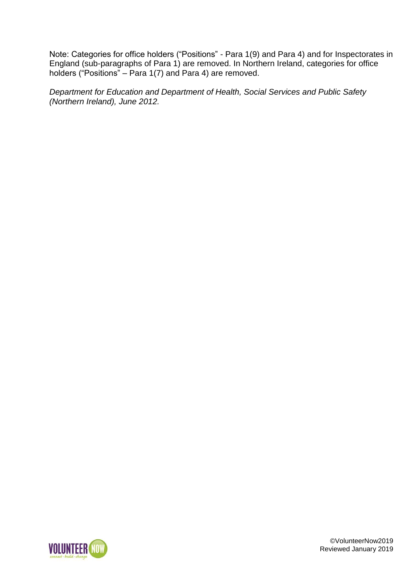Note: Categories for office holders ("Positions" - Para 1(9) and Para 4) and for Inspectorates in England (sub-paragraphs of Para 1) are removed. In Northern Ireland, categories for office holders ("Positions" – Para 1(7) and Para 4) are removed.

*Department for Education and Department of Health, Social Services and Public Safety (Northern Ireland), June 2012.*

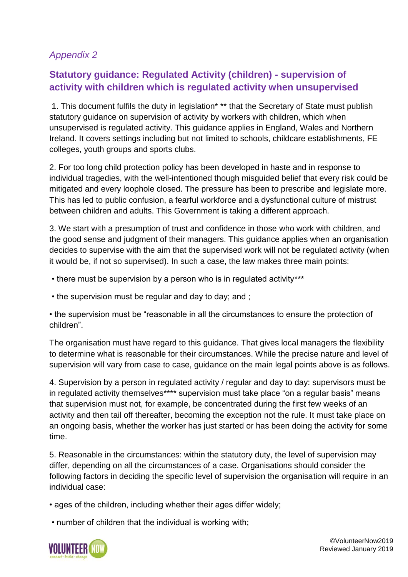# *Appendix 2*

# **Statutory guidance: Regulated Activity (children) - supervision of activity with children which is regulated activity when unsupervised**

1. This document fulfils the duty in legislation<sup>\*</sup> \*\* that the Secretary of State must publish statutory guidance on supervision of activity by workers with children, which when unsupervised is regulated activity. This guidance applies in England, Wales and Northern Ireland. It covers settings including but not limited to schools, childcare establishments, FE colleges, youth groups and sports clubs.

2. For too long child protection policy has been developed in haste and in response to individual tragedies, with the well-intentioned though misguided belief that every risk could be mitigated and every loophole closed. The pressure has been to prescribe and legislate more. This has led to public confusion, a fearful workforce and a dysfunctional culture of mistrust between children and adults. This Government is taking a different approach.

3. We start with a presumption of trust and confidence in those who work with children, and the good sense and judgment of their managers. This guidance applies when an organisation decides to supervise with the aim that the supervised work will not be regulated activity (when it would be, if not so supervised). In such a case, the law makes three main points:

• there must be supervision by a person who is in regulated activity\*\*\*

• the supervision must be regular and day to day; and ;

• the supervision must be "reasonable in all the circumstances to ensure the protection of children".

The organisation must have regard to this guidance. That gives local managers the flexibility to determine what is reasonable for their circumstances. While the precise nature and level of supervision will vary from case to case, guidance on the main legal points above is as follows.

4. Supervision by a person in regulated activity / regular and day to day: supervisors must be in regulated activity themselves\*\*\*\* supervision must take place "on a regular basis" means that supervision must not, for example, be concentrated during the first few weeks of an activity and then tail off thereafter, becoming the exception not the rule. It must take place on an ongoing basis, whether the worker has just started or has been doing the activity for some time.

5. Reasonable in the circumstances: within the statutory duty, the level of supervision may differ, depending on all the circumstances of a case. Organisations should consider the following factors in deciding the specific level of supervision the organisation will require in an individual case:

• ages of the children, including whether their ages differ widely;

• number of children that the individual is working with;

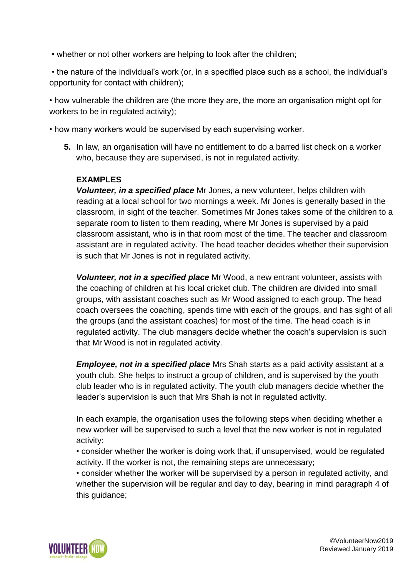• whether or not other workers are helping to look after the children;

• the nature of the individual's work (or, in a specified place such as a school, the individual's opportunity for contact with children);

• how vulnerable the children are (the more they are, the more an organisation might opt for workers to be in regulated activity);

• how many workers would be supervised by each supervising worker.

**5.** In law, an organisation will have no entitlement to do a barred list check on a worker who, because they are supervised, is not in regulated activity.

#### **EXAMPLES**

*Volunteer, in a specified place* Mr Jones, a new volunteer, helps children with reading at a local school for two mornings a week. Mr Jones is generally based in the classroom, in sight of the teacher. Sometimes Mr Jones takes some of the children to a separate room to listen to them reading, where Mr Jones is supervised by a paid classroom assistant, who is in that room most of the time. The teacher and classroom assistant are in regulated activity. The head teacher decides whether their supervision is such that Mr Jones is not in regulated activity.

*Volunteer, not in a specified place* Mr Wood, a new entrant volunteer, assists with the coaching of children at his local cricket club. The children are divided into small groups, with assistant coaches such as Mr Wood assigned to each group. The head coach oversees the coaching, spends time with each of the groups, and has sight of all the groups (and the assistant coaches) for most of the time. The head coach is in regulated activity. The club managers decide whether the coach's supervision is such that Mr Wood is not in regulated activity.

*Employee, not in a specified place* Mrs Shah starts as a paid activity assistant at a youth club. She helps to instruct a group of children, and is supervised by the youth club leader who is in regulated activity. The youth club managers decide whether the leader's supervision is such that Mrs Shah is not in regulated activity.

In each example, the organisation uses the following steps when deciding whether a new worker will be supervised to such a level that the new worker is not in regulated activity:

• consider whether the worker is doing work that, if unsupervised, would be regulated activity. If the worker is not, the remaining steps are unnecessary;

• consider whether the worker will be supervised by a person in regulated activity, and whether the supervision will be regular and day to day, bearing in mind paragraph 4 of this guidance;